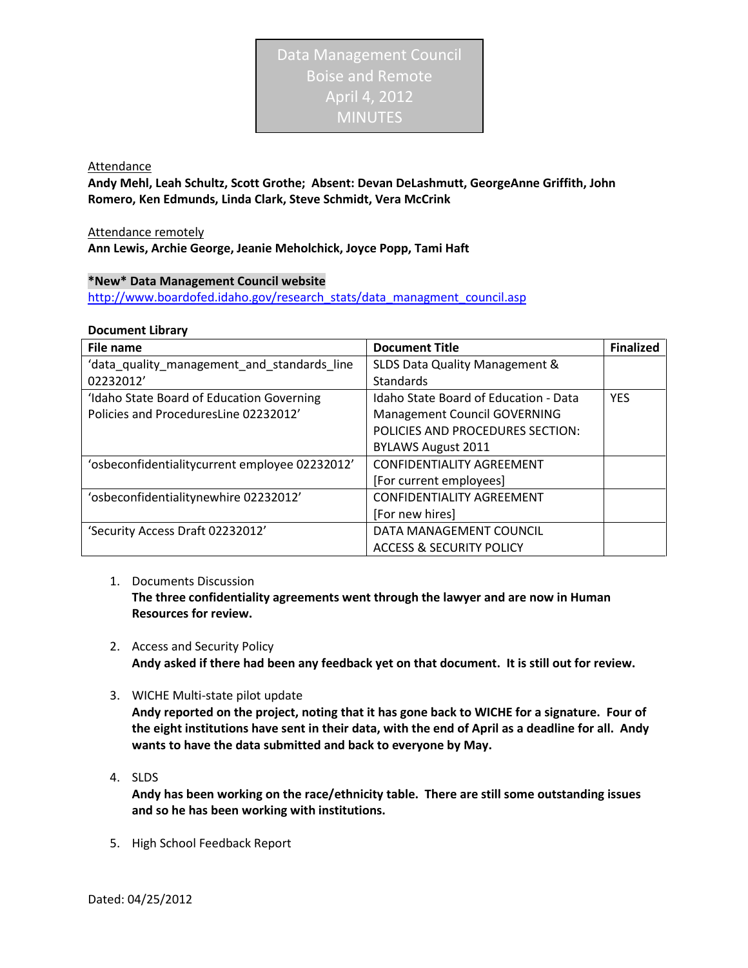Attendance

**Andy Mehl, Leah Schultz, Scott Grothe; Absent: Devan DeLashmutt, GeorgeAnne Griffith, John Romero, Ken Edmunds, Linda Clark, Steve Schmidt, Vera McCrink**

Attendance remotely **Ann Lewis, Archie George, Jeanie Meholchick, Joyce Popp, Tami Haft**

## **\*New\* Data Management Council website**

[http://www.boardofed.idaho.gov/research\\_stats/data\\_managment\\_council.asp](http://www.boardofed.idaho.gov/research_stats/data_managment_council.asp)

## **Document Library**

| <b>File name</b>                               | <b>Document Title</b>                        | <b>Finalized</b> |
|------------------------------------------------|----------------------------------------------|------------------|
| 'data_quality_management_and_standards_line    | SLDS Data Quality Management &               |                  |
| 02232012'                                      | Standards                                    |                  |
| 'Idaho State Board of Education Governing      | <b>Idaho State Board of Education - Data</b> | <b>YES</b>       |
| Policies and ProceduresLine 02232012'          | <b>Management Council GOVERNING</b>          |                  |
|                                                | POLICIES AND PROCEDURES SECTION:             |                  |
|                                                | <b>BYLAWS August 2011</b>                    |                  |
| 'osbeconfidentialitycurrent employee 02232012' | <b>CONFIDENTIALITY AGREEMENT</b>             |                  |
|                                                | [For current employees]                      |                  |
| 'osbeconfidentialitynewhire 02232012'          | <b>CONFIDENTIALITY AGREEMENT</b>             |                  |
|                                                | [For new hires]                              |                  |
| 'Security Access Draft 02232012'               | DATA MANAGEMENT COUNCIL                      |                  |
|                                                | <b>ACCESS &amp; SECURITY POLICY</b>          |                  |

1. Documents Discussion

**The three confidentiality agreements went through the lawyer and are now in Human Resources for review.** 

- 2. Access and Security Policy **Andy asked if there had been any feedback yet on that document. It is still out for review.**
- 3. WICHE Multi-state pilot update

**Andy reported on the project, noting that it has gone back to WICHE for a signature. Four of the eight institutions have sent in their data, with the end of April as a deadline for all. Andy wants to have the data submitted and back to everyone by May.** 

4. SLDS

**Andy has been working on the race/ethnicity table. There are still some outstanding issues and so he has been working with institutions.**

5. High School Feedback Report